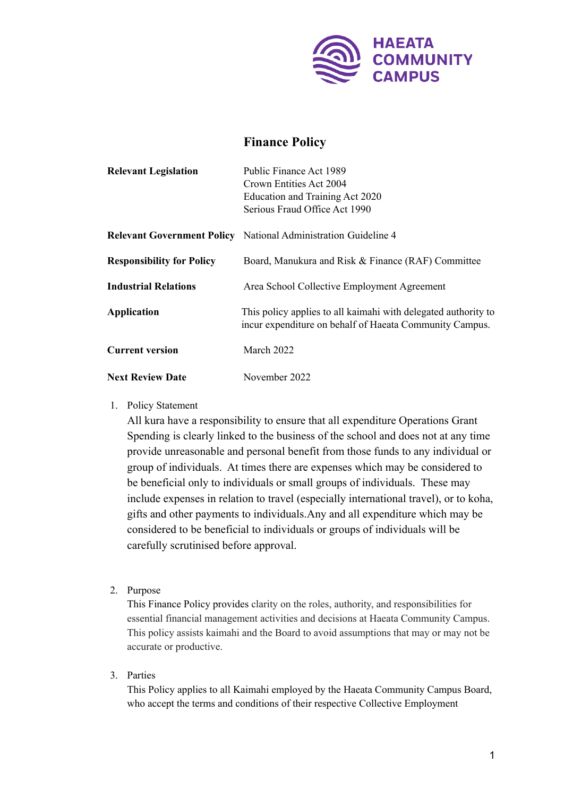

## **Finance Policy**

| <b>Relevant Legislation</b>      | Public Finance Act 1989                                                                                                   |
|----------------------------------|---------------------------------------------------------------------------------------------------------------------------|
|                                  | Crown Entities Act 2004                                                                                                   |
|                                  | Education and Training Act 2020                                                                                           |
|                                  | Serious Fraud Office Act 1990                                                                                             |
|                                  | <b>Relevant Government Policy</b> National Administration Guideline 4                                                     |
| <b>Responsibility for Policy</b> | Board, Manukura and Risk & Finance (RAF) Committee                                                                        |
| <b>Industrial Relations</b>      | Area School Collective Employment Agreement                                                                               |
| <b>Application</b>               | This policy applies to all kaimahi with delegated authority to<br>incur expenditure on behalf of Haeata Community Campus. |
| <b>Current version</b>           | March 2022                                                                                                                |
| <b>Next Review Date</b>          | November 2022                                                                                                             |

1. Policy Statement

All kura have a responsibility to ensure that all expenditure Operations Grant Spending is clearly linked to the business of the school and does not at any time provide unreasonable and personal benefit from those funds to any individual or group of individuals. At times there are expenses which may be considered to be beneficial only to individuals or small groups of individuals. These may include expenses in relation to travel (especially international travel), or to koha, gifts and other payments to individuals.Any and all expenditure which may be considered to be beneficial to individuals or groups of individuals will be carefully scrutinised before approval.

2. Purpose

This Finance Policy provides clarity on the roles, authority, and responsibilities for essential financial management activities and decisions at Haeata Community Campus. This policy assists kaimahi and the Board to avoid assumptions that may or may not be accurate or productive.

3. Parties

This Policy applies to all Kaimahi employed by the Haeata Community Campus Board, who accept the terms and conditions of their respective Collective Employment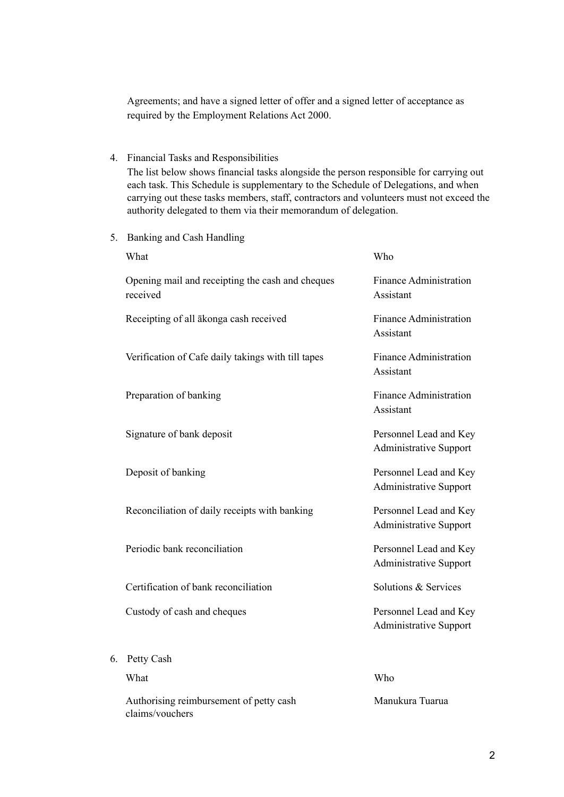Agreements; and have a signed letter of offer and a signed letter of acceptance as required by the Employment Relations Act 2000.

4. Financial Tasks and Responsibilities

The list below shows financial tasks alongside the person responsible for carrying out each task. This Schedule is supplementary to the Schedule of Delegations, and when carrying out these tasks members, staff, contractors and volunteers must not exceed the authority delegated to them via their memorandum of delegation.

5. Banking and Cash Handling

|    | What                                                         | Who                                                     |
|----|--------------------------------------------------------------|---------------------------------------------------------|
|    | Opening mail and receipting the cash and cheques<br>received | <b>Finance Administration</b><br>Assistant              |
|    | Receipting of all ākonga cash received                       | <b>Finance Administration</b><br>Assistant              |
|    | Verification of Cafe daily takings with till tapes           | <b>Finance Administration</b><br>Assistant              |
|    | Preparation of banking                                       | <b>Finance Administration</b><br>Assistant              |
|    | Signature of bank deposit                                    | Personnel Lead and Key<br><b>Administrative Support</b> |
|    | Deposit of banking                                           | Personnel Lead and Key<br><b>Administrative Support</b> |
|    | Reconciliation of daily receipts with banking                | Personnel Lead and Key<br><b>Administrative Support</b> |
|    | Periodic bank reconciliation                                 | Personnel Lead and Key<br>Administrative Support        |
|    | Certification of bank reconciliation                         | Solutions & Services                                    |
|    | Custody of cash and cheques                                  | Personnel Lead and Key<br>Administrative Support        |
| 6. | Petty Cash                                                   |                                                         |
|    | What                                                         | Who                                                     |
|    | Authorising reimbursement of petty cash<br>claims/vouchers   | Manukura Tuarua                                         |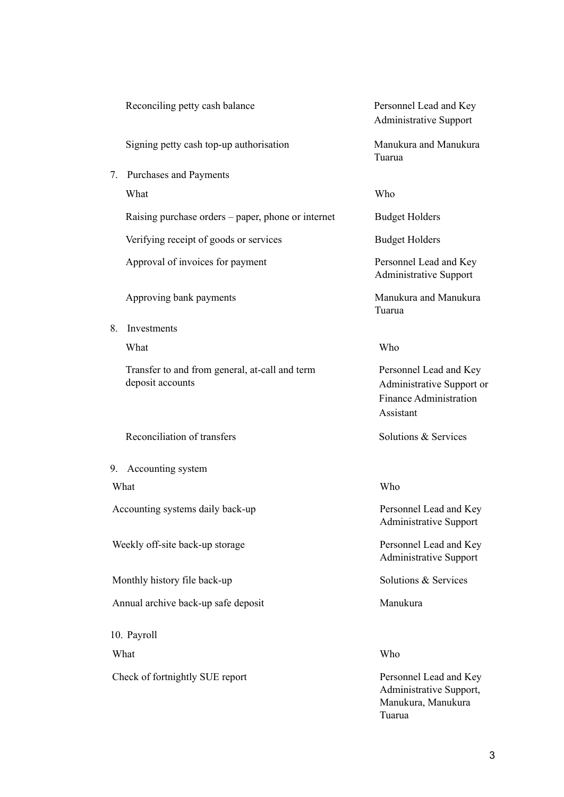|    | Reconciling petty cash balance                                     | Personnel Lead and Key<br><b>Administrative Support</b>                                           |
|----|--------------------------------------------------------------------|---------------------------------------------------------------------------------------------------|
|    | Signing petty cash top-up authorisation                            | Manukura and Manukura<br>Tuarua                                                                   |
|    | 7. Purchases and Payments                                          |                                                                                                   |
|    | What                                                               | Who                                                                                               |
|    | Raising purchase orders – paper, phone or internet                 | <b>Budget Holders</b>                                                                             |
|    | Verifying receipt of goods or services                             | <b>Budget Holders</b>                                                                             |
|    | Approval of invoices for payment                                   | Personnel Lead and Key<br><b>Administrative Support</b>                                           |
|    | Approving bank payments                                            | Manukura and Manukura<br>Tuarua                                                                   |
| 8. | Investments                                                        |                                                                                                   |
|    | What                                                               | Who                                                                                               |
|    | Transfer to and from general, at-call and term<br>deposit accounts | Personnel Lead and Key<br>Administrative Support or<br><b>Finance Administration</b><br>Assistant |
|    | Reconciliation of transfers                                        | Solutions & Services                                                                              |
| 9. | Accounting system                                                  |                                                                                                   |
|    | What                                                               | Who                                                                                               |
|    | Accounting systems daily back-up                                   | Personnel Lead and Key<br><b>Administrative Support</b>                                           |
|    | Weekly off-site back-up storage                                    | Personnel Lead and Key<br><b>Administrative Support</b>                                           |
|    | Monthly history file back-up                                       | Solutions & Services                                                                              |
|    | Annual archive back-up safe deposit                                | Manukura                                                                                          |
|    | 10. Payroll                                                        |                                                                                                   |
|    | What                                                               | Who                                                                                               |
|    | Check of fortnightly SUE report                                    | Personnel Lead and Key<br>Administrative Support,<br>Manukura, Manukura                           |

Tuarua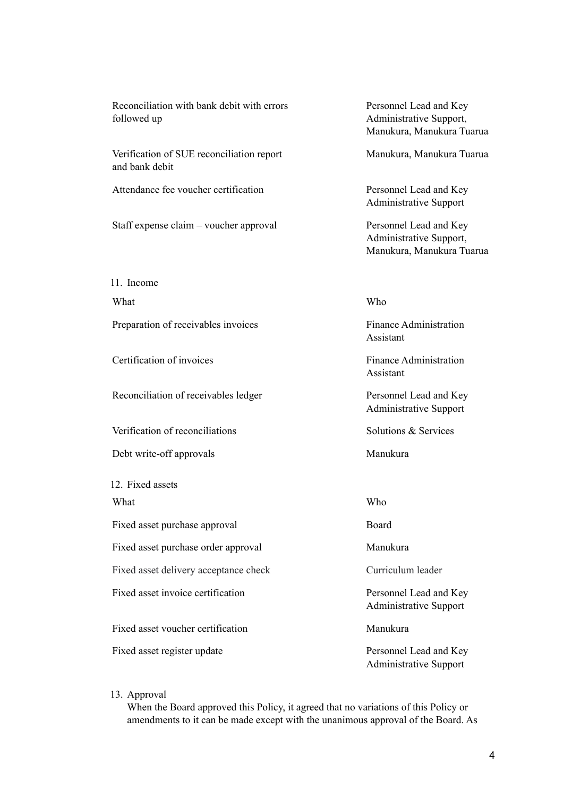Reconciliation with bank debit with errors followed up

Verification of SUE reconciliation report and bank debit

Attendance fee voucher certification Personnel Lead and Key

Staff expense claim – voucher approval Personnel Lead and Key

11. Income

What Who were written with the Who who will be written with the Who will be written with the Who will be written with the Who will be written with the Who will be written with the Who will be written with the will be writt

Preparation of receivables invoices Finance Administration

Certification of invoices and the set of the Finance Administration

Reconciliation of receivables ledger Personnel Lead and Key

Verification of reconciliations Solutions & Services

Debt write-off approvals Manukura

12. Fixed assets What Who who will be written with the Who will be written with the Who will be written with the Who will be written with the Who will be written with the Who will be written with the Who will be written with the Who will b

Fixed asset purchase approval Board

Fixed asset purchase order approval Manukura

Fixed asset delivery acceptance check Curriculum leader

Fixed asset invoice certification Personnel Lead and Key

Fixed asset voucher certification Manukura

Fixed asset register update Personnel Lead and Key

Personnel Lead and Key Administrative Support, Manukura, Manukura Tuarua

Manukura, Manukura Tuarua

Administrative Support

Administrative Support, Manukura, Manukura Tuarua

Assistant

Assistant

Administrative Support

Administrative Support

Administrative Support

## 13. Approval

When the Board approved this Policy, it agreed that no variations of this Policy or amendments to it can be made except with the unanimous approval of the Board. As